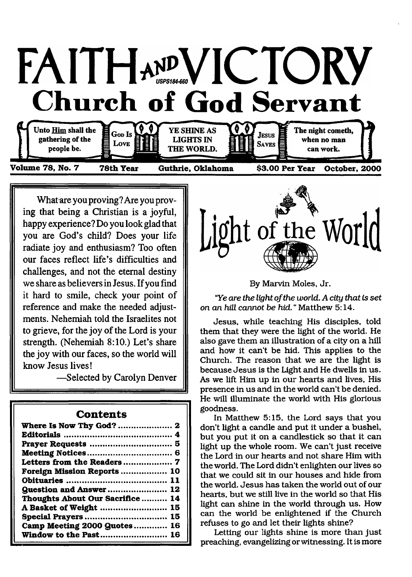

**What are you proving? Are you proving that being a Christian is a joyful, happy experience? Do you look glad that you are God's child? Does your life radiate joy and enthusiasm? Too often our faces reflect life's difficulties and challenges, and not the eternal destiny we share as believers in Jesus. If you find it hard to smile, check your point of reference and make the needed adjustments. Nehemiah told the Israelites not** to grieve, for the joy of the Lord is your **strength. (Nehemiah 8:10.) Let's share the joy with our faces, so the world will know Jesus lives!**

**— Selected by Carolyn Denver**

| .                                |
|----------------------------------|
|                                  |
|                                  |
|                                  |
|                                  |
|                                  |
| Foreign Mission Reports  10      |
|                                  |
| <b>Question and Answer  12</b>   |
| Thoughts About Our Sacrifice  14 |
| A Basket of Weight  15           |
|                                  |
| Camp Meeting 2000 Quotes 16      |
| Window to the Past 16            |

#### **Contents**



By Marvin Moles, Jr.

"Ye are the light of the world. A city that is set *on an hill cannot be hid.* " Matthew 5:14.

Jesus, while teaching His disciples, told them that they were the light of the world. He also gave them an illustration of a city on a hill and how it can't be hid. This applies to the Church. The reason that we are the light is because Jesus is the Light and He dwells in us. As we lift Him up in our hearts and lives, His presence in us and in the world can't be denied. He will illuminate the world with His glorious goodness.

In Matthew 5:15, the Lord says that you don't light a candle and put it under a bushel, but you put it on a candlestick so that it can light up the whole room. We can't just receive the Lord in our hearts and not share Him with the world. The Lord didn't enlighten our lives so that we could sit in our houses and hide from the world. Jesus has taken the world out of our hearts, but we still live in the world so that His light can shine in the world through us. How can the world be enlightened if the Church refuses to go and let their lights shine?

Letting our lights shine is more than just preaching, evangelizing or witnessing. It is more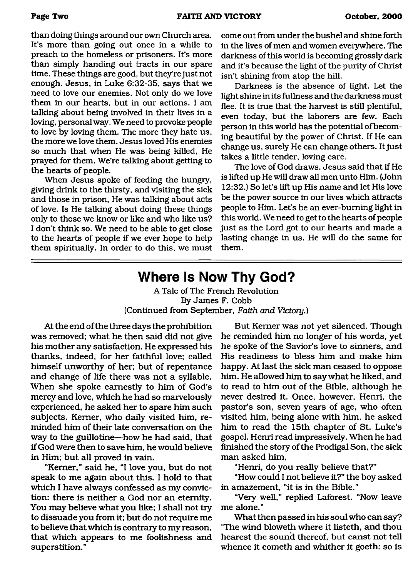than doing things around our own Church area. It's more than going out once in a while to preach to the homeless or prisoners. It's more than simply handing out tracts in our spare time. These things are good, but they're just not enough. Jesus, in Luke 6:32-35, says that we need to love our enemies. Not only do we love them in our hearts, but in our actions. I am talking about being involved in their lives in a loving, personal way. We need to provoke people to love by loving them. The more they hate us, the more we love them. Jesus loved His enemies so much that when He was being killed, He prayed for them. We're talking about getting to the hearts of people.

When Jesus spoke of feeding the hungry, giving drink to the thirsty, and visiting the sick and those in prison, He was talking about acts of love. Is He talking about doing these things only to those we know or like and who like us? I don't think so. We need to be able to get close to the hearts of people if we ever hope to help them spiritually. In order to do this, we must

come out from under the bushel and shine forth in the lives of men and women everywhere. The darkness of this world is becoming grossly dark and it's because the light of the purity of Christ isn't shining from atop the hill.

Darkness is the absence of light. Let the light shine in its fullness and the darkness must flee. It is true that the harvest is still plentiful, even today, but the laborers are few. Each person in this world has the potential of becoming beautiful by the power of Christ. If He can change us, surely He can change others. It just takes a little tender, loving care.

The love of God draws. Jesus said that if He is lifted up He will draw all men unto Him. (John 12:32.) So let's lift up His name and let His love be the power source in our lives which attracts people to Him. Let's be an ever-burning light in this world. We need to get to the hearts of people just as the Lord got to our hearts and made a lasting change in us. He will do the same for them.

# <span id="page-1-0"></span>**Where Is Now Thy God?**

A Tale of The French Revolution By James F. Cobb (Continued from September, *Faith and Victory.)*

At the end of the three days the prohibition was removed; what he then said did not give his mother any satisfaction. He expressed his thanks, indeed, for her faithful love; called him self unworthy of her; but of repentance and change of life there was not a syllable. When she spoke earnestly to him of God's mercy and love, which he had so marvelously experienced, he asked her to spare him such subjects. Kerner, who daily visited him, reminded him of their late conversation on the way to the guillotine—how he had said, that if God were then to save him, he would believe in Him; but all proved in vain.

"Kerner," said he, "I love you, but do not speak to me again about this. I hold to that which I have always confessed as my conviction: there is neither a God nor an eternity. You may believe what you like; I shall not try to dissuade you from it; but do not require me to believe that which is contrary to my reason, that which appears to me foolishness and superstition."

But Kerner was not yet silenced. Though he reminded him no longer of his words, yet he spoke of the Savior's love to sinners, and His readiness to bless him and make him happy. At last the sick man ceased to oppose him. He allowed him to say what he liked, and to read to him out of the Bible, although he never desired it. Once, however, Henri, the pastor's son, seven years of age, who often visited him, being alone with him, he asked him to read the 15th chapter of St. Luke's gospel. Henri read impressively. When he had finished the story of the Prodigal Son, the sick man asked him,

"Henri, do you really believe that?"

"How could I not believe it?" the boy asked in amazement, "it is in the Bible."

"Very well," replied Laforest. "Now leave me alone."

What then passed in his soul who can say? "The wind bloweth where it listeth, and thou hearest the sound thereof, but canst not tell whence it cometh and whither it goeth: so is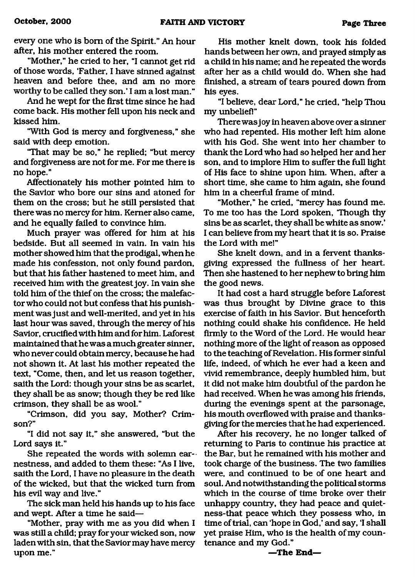every one who is bom of the Spirit." An hour after, his mother entered the room.

"Mother," he cried to her, "I cannot get rid of those words, 'Father, I have sinned against heaven and before thee, and am no more worthy to be called they son.' I am a lost man."

And he wept for the first time since he had come back. His mother fell upon his neck and kissed him.

"With God is mercy and forgiveness," she said with deep emotion.

"That may be so," he replied; "but mercy and forgiveness are not for me. For me there is no hope."

Affectionately his mother pointed him to the Savior who bore our sins and atoned for them on the cross; but he still persisted that there was no mercy for him. Kerner also came, and he equally failed to convince him.

Much prayer was offered for him at his bedside. But all seemed in vain. In vain his mother showed him that the prodigal, when he made his confession, not only found pardon, but that his father hastened to meet him, and received him with the greatest joy. In vain she told him of the thief on the cross; the malefactor who could not but confess that his punishment was just and well-merited, and yet in his last hour was saved, through the mercy of his Savior, crucified with him and for him. Laforest maintained that he was a much greater sinner, who never could obtain mercy, because he had not shown it. At last his mother repeated the text, "Come, then, and let us reason together, saith the Lord: though your sins be as scarlet, they shall be as snow; though they be red like crimson, they shall be as wool."

"Crimson, did you say, Mother? Crimson?"

"I did not say it," she answered, "but the Lord says it."

She repeated the words with solemn earnestness, and added to them these: "As I live, saith the Lord, I have no pleasure in the death of the wicked, but that the wicked turn from his evil way and live."

The sick man held his hands up to his face and wept. After a time he said—

"Mother, pray with me as you did when I was still a child; pray for your wicked son, now laden with sin, that the Savior may have mercy upon me."

His mother knelt down, took his folded hands between her own, and prayed simply as a child in his name; and he repeated the words after her as a child would do. When she had finished, a stream of tears poured down from his eyes.

"I believe, dear Lord," he cried, "help Thou my unbelief!"

There was joy in heaven above over a sinner who had repented. His mother left him alone with his God. She went into her chamber to thank the Lord who had so helped her and her son, and to implore Him to suffer the full light of His face to shine upon him. When, after a short time, she came to him again, she found him in a cheerful frame of mind.

"Mother," he cried, "mercy has found me. To me too has the Lord spoken, Though thy sins be as scarlet, they shall be white as snow.' I can believe from my heart that it is so. Praise the Lord with me!"

She knelt down, and in a fervent thanksgiving expressed the fullness of her heart. Then she hastened to her nephew to bring him the good news.

It had cost a hard struggle before Laforest was thus brought by Divine grace to this exercise of faith in his Savior. But henceforth nothing could shake his confidence. He held firmly to the Word of the Lord. He would hear nothing more of the light of reason as opposed to the teaching of Revelation. His former sinful life, indeed, of which he ever had a keen and vivid remembrance, deeply humbled him, but it did not make him doubtful of the pardon he had received. When he was among his friends, during the evenings spent at the parsonage, his mouth overflowed with praise and thanksgiving for the mercies that he had experienced.

After his recovery, he no longer talked of returning to Paris to continue his practice at the Bar, but he remained with his mother and took charge of the business. The two families were, and continued to be of one heart and soul. And notwithstanding the political storms which in the course of time broke over their unhappy country, they had peace and quietness-that peace which they possess who, in time of trial, can 'hope in God,' and say, 'I shall yet praise Him, who is the health of my countenance and my God."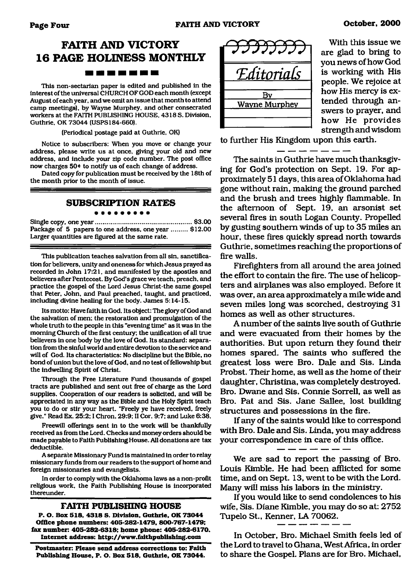### **FAITH AND VICTORY 16 PAGE HOLINESS MONTHLY** -------

This non-sectarian paper is edited and published in the interest of the universal CHURCH OF GOD each month (except August of each year, and we omit an issue that month to attend camp meetings), by Wayne Murphey, and other consecrated workers at the FAITH PUBLISHING HOUSE. 4318 S. Division, Guthrie, OK 73044 (USPS184-660).

(Periodical postage paid at Guthrie, OK)

Notice to subscribers: When you move or change your address, please write us at once, giving your old and new address, and include your zip code number. The post office now charges 50<sup>¢</sup> to notify us of each change of address.

Dated copy for publication must be received by the 18th of the month prior to the month of issue.

#### **SUBSCRIPTION RATES**

Single copy, one year..................................................... \$3.00 Package of 5 papers to one address, one year ......... \$12.00 Larger quantities are figured at the same rate.

This publication teaches salvation from all sin, sanctification for believers, unity and oneness for which Jesus prayed as recorded in John 17:21, and manifested by the apostles and believers after Pentecost. By God's grace we teach, preach, and practice the gospel of the Lord Jesus Christ-the same gospel that Peter, John, and Paul preached, taught, and practiced, including divine healing for the body. James 5:14-15.

Its motto: Have faith in God. Its object: The glory of God and the salvation of men; the restoration and promulgation of the whole truth to the people in this "evening time" as it was in the morning Church of the first century: the unification of all true believers in one body by the love of God. Its standard: separation from the sinful world and entire devotion to the service and will of God. Its characteristics: No discipline but the Bible, no bond of union but the love of God, and no test of fellowship but the indwelling Spirit of Christ.

Through the Free Literature Fund thousands of gospel tracts are published and sent out free of charge as the Lord supplies. Cooperation of our readers is solicited, and will be appreciated in any way as the Bible and the Holy Spirit teach you to do or stir your heart. "Freely ye have received, freely give." Read Ex. 25:2; I Chron. 29:9; II Cor. 9:7: and Luke 6:38.

Freewill offerings sent in to the work will be thankfully received as from the Lord. Checks and money orders should be made payable to Faith Publishing House. All donations are tax deductible.

A separate Missionary Fund is maintained in order to relay missionary funds from our readers to the support of home and foreign missionaries and evangelists.

In order to comply with the Oklahoma laws as a non-profit religious work, the Faith Publishing House is incorporated thereunder.

#### **FAITH PUBLISH ING HOUSE**

**P. O. Box 518, 4318 S. Division, Guthrie, OK 73044 Office phone numbers: 405-282-1479, 800-767-1479; fax number: 405-282-6318; home phone: 405-282-6170. Internet address:<http://www.faithpiiblishing.com>**

**Postmaster: Please send address corrections to: Faith Publishing House. P. O. Box 518, Guthrie, OK 73044.**



With this issue we are glad to bring to you news of how God is working with His people. We rejoice at how His mercy is extended through answers to prayer, and how He provides

strength and wisdom

to further His Kingdom upon this earth.

The saints in Guthrie have much thanksgiving for God's protection on Sept. 19. For approximately 51 days, this area of Oklahoma had gone without rain, making the ground parched and the brush and trees highly flammable. In the afternoon of Sept. 19, an arsonist set several fires in south Logan County. Propelled by gusting southern winds of up to 35 miles an hour, these fires quickly spread north towards Guthrie, sometimes reaching the proportions of fire walls.

Firefighters from all around the area joined the effort to contain the fire. The use of helicopters and airplanes was also employed. Before it was over, an area approximately a mile wide and seven miles long was scorched, destroying 31 homes as well as other structures.

A number of the saints live south of Guthrie and were evacuated from their homes by the authorities. But upon return they found their homes spared. The saints who suffered the greatest loss were Bro. Dale and Sis. Linda Probst. Their home, as well as the home of their daughter, Christina, was completely destroyed. Bro. Dwane and Sis. Connie Sorrell, as well as Bro. Pat and Sis. Jane Sallee, lost building structures and possessions in the fire.

If any of the saints would like to correspond with Bro. Dale and Sis. Linda, you may address your correspondence in care of this office.

We are sad to report the passing of Bro. Louis Kimble. He had been afflicted for some time, and on Sept. 13, went to be with the Lord. Many will miss his labors in the ministry.

If you would like to send condolences to his wife, Sis. Diane Kimble, you may do so at: 2752 Tupelo St., Kenner, LA 70062.

In October, Bro. Michael Smith feels led of the Lord to travel to Ghana, West Africa, in order to share the Gospel. Plans are for Bro. Michael,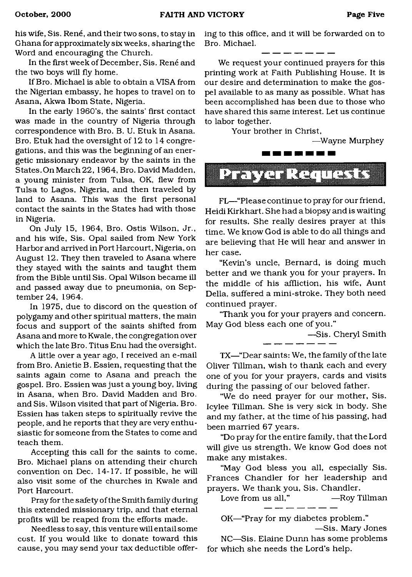his wife, Sis. René, and their two sons, to stay in Ghana for approximately six weeks, sharing the Word and encouraging the Church.

In the first week of December, Sis. René and the two boys will fly home.

If Bro. Michael is able to obtain a VISA from the Nigerian embassy, he hopes to travel on to Asana, Akwa Ibom State, Nigeria.

In the early 1960's, the saints' first contact was made in the country of Nigeria through correspondence with Bro. B. U. Etuk in Asana. Bro. Etuk had the oversight of 12 to 14 congregations, and this was the beginning of an energetic missionary endeavor by the saints in the States. On March 22, 1964, Bro. David Madden, a young minister from Tulsa, OK, flew from Tulsa to Lagos, Nigeria, and then traveled by land to Asana. This was the first personal contact the saints in the States had with those in Nigeria.

On July 15, 1964, Bro. Ostis Wilson, Jr., and his wife, Sis. Opal sailed from New York Harbor and arrived in Port Harcourt, Nigeria, on August 12. They then traveled to Asana where they stayed with the saints and taught them from the Bible until Sis. Opal Wilson became ill and passed away due to pneumonia, on September 24, 1964.

In 1975, due to discord on the question of polygamy and other spiritual matters, the main focus and support of the saints shifted from Asana and more to Kwale, the congregation over which the late Bro. Titus Enu had the oversight.

A little over a year ago, I received an e-mail from Bro. Anietie B. Essien, requesting that the saints again come to Asana and preach the gospel. Bro. Essien was just a young boy, living in Asana, when Bro. David Madden and Bro. and Sis. Wilson visited that part of Nigeria. Bro. Essien has taken steps to spiritually revive the people, and he reports that they are very enthusiastic for someone from the States to come and teach them.

Accepting this call for the saints to come, Bro. Michael plans on attending their church convention on Dec. 14-17. If possible, he will also visit some of the churches in Kwale and Port Harcourt.

Pray for the safety of the Smith family during this extended missionary trip, and that eternal profits will be reaped from the efforts made.

Needless to say, this venture will entail some cost. If you would like to donate toward this cause, you may send your tax deductible offering to this office, and it will be forwarded on to Bro. Michael.

We request your continued prayers for this printing work at Faith Publishing House. It is our desire and determination to make the gospel available to as many as possible. What has been accomplished has been due to those who have shared this same interest. Let us continue to labor together.

Your brother in Christ,



FL— "Please continue to pray for our friend, Heidi Kirkhart. She had a biopsy and is waiting for results. She really desires prayer at this time. We know God is able to do all things and are believing that He will hear and answer in her case.

"Kevin's uncle, Bernard, is doing much better and we thank you for your prayers. In the middle of his affliction, his wife, Aunt Della, suffered a mini-stroke. They both need continued prayer.

"Thank you for your prayers and concern. May God bless each one of you."

—Sis. Cheryl Smith

TX—"Dear saints: We, the family of the late Oliver Tillman, wish to thank each and every one of you for your prayers, cards and visits during the passing of our beloved father.

"We do need prayer for our mother, Sis. Icylee Tillman. She is very sick in body. She and my father, at the time of his passing, had been married 67 years.

"Do pray for the entire family, that the Lord will give us strength. We know God does not make any mistakes.

"May God bless you all, especially Sis. Frances Chandler for her leadership and prayers. We thank you, Sis. Chandler.

Love from us all," —Roy Tillman

OK—"Pray for my diabetes problem."

—Sis. Mary Jones NC—Sis. Elaine Dunn has some problems for which she needs the Lord's help.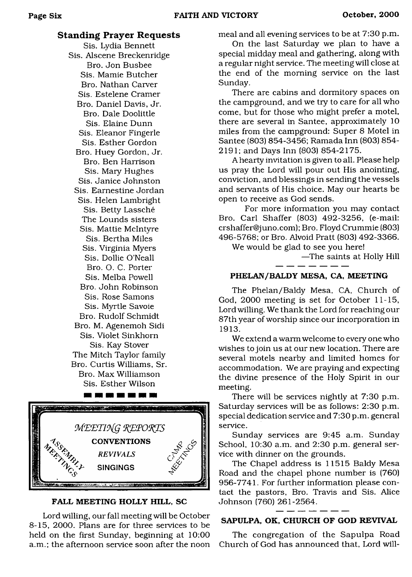#### **Standing Prayer Requests**

Sis. Lydia Bennett Sis. Alscene Breckenridge Bro. Jon Busbee Sis. Mamie Butcher Bro. Nathan Carver Sis. Estelene Cramer Bro. Daniel Davis, Jr. Bro. Dale Doolittle Sis. Elaine Dunn Sis. Eleanor Fingerle Sis. Esther Gordon Bro. Huey Gordon, Jr. Bro. Ben Harrison Sis. Mary Hughes Sis. Janice Johnston Sis. Earnestine Jordan Sis. Helen Lambright Sis. Betty Lassche The Lounds sisters Sis. Mattie McIntyre Sis. Bertha Miles Sis. Virginia Myers Sis. Dollie O'Neall Bro. O. C. Porter Sis. Melba Powell Bro. John Robinson Sis. Rose Samons Sis. Myrtle Savoie Bro. Rudolf Schmidt Bro. M. Agenemoh Sidi Sis. Violet Sinkhorn Sis. Kay Stover The Mitch Taylor family Bro. Curtis Williams, Sr. Bro. Max Williamson Sis. Esther Wilson

------



#### FALL MEETING HOLLY HILL, SC

Lord willing, our fall meeting will be October 8-15, 2000. Plans are for three services to be held on the first Sunday, beginning at 10:00 a.m.; the afternoon service soon after the noon meal and all evening services to be at 7:30 p.m.

On the last Saturday we plan to have a special midday meal and gathering, along with a regular night service. The meeting will close at the end of the morning service on the last Sunday.

There are cabins and dormitory spaces on the campground, and we try to care for all who come, but for those who might prefer a motel, there are several in Santee, approximately 10 miles from the campground: Super 8 Motel in Santee (803) 854-3456; Ramada Inn (803) 854- 2191; and Days Inn (803) 854-2175.

A hearty invitation is given to all. Please help us pray the Lord will pour out His anointing, conviction, and blessings in sending the vessels and servants of His choice. May our hearts be open to receive as God sends.

For more information you may contact Bro. Carl Shaffer (803) 492-3256, (e-mail: [crshaffer@juno.com\)](mailto:crshaffer@juno.com); Bro. Floyd Crummie (803) 496-5768; or Bro. Alvoid Pratt (803) 492-3366.

We would be glad to see you here!

—The saints at Holly Hill

#### PHELAN/BALDY MESA, CA, MEETING

The Phelan/Baldy Mesa, CA, Church of God, 2000 meeting is set for October 11-15, Lord willing. We thank the Lord for reaching our 87th year of worship since our incorporation in 1913.

We extend a warm welcome to every one who wishes to join us at our new location. There are several motels nearby and limited homes for accommodation. We are praying and expecting the divine presence of the Holy Spirit in our meeting.

There will be services nightly at 7:30 p.m. Saturday services will be as follows: 2:30 p.m. special dedication service and 7:30 p.m. general service.

Sunday services are 9:45 a.m. Sunday School, 10:30 a.m. and 2:30 p.m. general service with dinner on the grounds.

The Chapel address is 11515 Baldy Mesa Road and the chapel phone number is (760) 956-7741. For further information please contact the pastors, Bro. Travis and Sis. Alice Johnson (760) 261-2564.

#### SAPULPA, OK, CHURCH OF GOD REVIVAL

The congregation of the Sapulpa Road Church of God has announced that, Lord will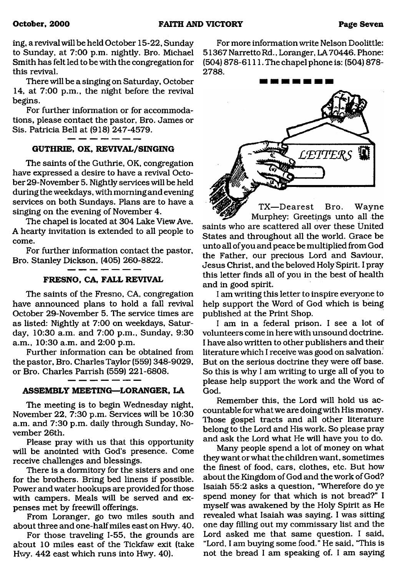ing, a revived will be held October 15-22, Sunday to Sunday, at 7:00 p.m. nightly. Bro. Michael Smith has felt led to be with the congregation for this revival.

There will be a singing on Saturday, October 14, at 7:00 p.m., the night before the revival begins.

For further information or for accommodations, please contact the pastor, Bro. James or Sis. Patricia Bell at (918) 247-4579.

#### **GUTHRIE, OK, REVIVAL/SINGING**

The saints of the Guthrie, OK, congregation have expressed a desire to have a revival October 29-November 5. Nightly services will be held during the weekdays, with morning and evening services on both Sundays. Plans are to have a singing on the evening of November 4.

The chapel is located at 304 Lake View Ave. A hearty invitation is extended to all people to come.

For further information contact the pastor, Bro. Stanley Dickson, (405) 260-8822.

#### **FRESNO, CA, FALL REVIVAL**

The saints of the Fresno, CA, congregation have announced plans to hold a fall revival October 29-November 5. The service times are as listed: Nightly at 7:00 on weekdays, Saturday, 10:30 a.m. and 7:00 p.m., Sunday, 9:30 a.m., 10:30 a.m. and 2:00 p.m.

Further information can be obtained from the pastor, Bro. Charles Taylor (559) 348-9029, or Bro. Charles Parrish (559) 221-6808.

#### **ASSEMBLY MEETING—LORANGER, LA**

The meeting is to begin Wednesday night, November 22, 7:30 p.m. Services will be 10:30 a.m. and 7:30 p.m. daily through Sunday, November 26th.

Please pray with us that this opportunity will be anointed with God's presence. Come receive challenges and blessings.

There is a dormitory for the sisters and one for the brothers. Bring bed linens if possible. Power and water hookups are provided for those with campers. Meals will be served and expenses met by freewill offerings.

From Loranger, go two miles south and about three and one-half miles east on Hwy. 40.

For those traveling 1-55, the grounds are about 10 miles east of the Tickfaw exit (take Hwy. 442 east which runs into Hwy. 40).

For more information write Nelson Doolittle: 51367 NarrettoRd., Loranger, LA70446. Phone: (504) 878-6111. The chapel phone is: (504) 878- 2788.



TX-Dearest Wayne Bro. Murphey: Greetings unto all the saints who are scattered all over these United States and throughout all the world. Grace be unto all of you and peace be multiplied from God the Father, our precious Lord and Saviour, Jesus Christ, and the beloved Holy Spirit. I pray this letter finds all of you in the best of health and in good spirit.

I am writing this letter to inspire everyone to help support the Word of God which is being published at the Print Shop.

I am in a federal prison. I see a lot of volunteers come in herewith unsound doctrine. I have also written to other publishers and their literature which I receive was good on salvation. But on the serious doctrine they were off base. So this is why I am writing to urge all of you to please help support the work and the Word of God.

Remember this, the Lord will hold us accountable forwhat we are doing with His money. Those gospel tracts and all other literature belong to the Lord and His work. So please pray and ask the Lord what He will have you to do.

Many people spend a lot of money on what they want or what the children want, sometimes the finest of food, cars, clothes, etc. But how about the Kingdom of God and the work of God? Isaiah 55:2 asks a question, "Wherefore do ye spend money for that which is not bread?" I myself was awakened by the Holy Spirit as He revealed what Isaiah was saying. I was sitting one day filling out my commissary list and the Lord asked me that same question. I said, "Lord, I am buying some food." He said, 'This is not the bread I am speaking of. I am saying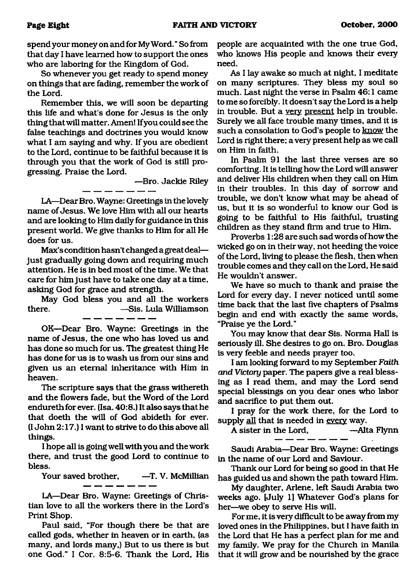spend your money on and for My Word. " So from that day I have learned how to support the ones who are laboring for the Kingdom of God.

So whenever you get ready to spend money on things that are fading, remember the work of the Lord.

Remember this, we will soon be departing this life and what's done for Jesus is the only thing that will matter. Amen! If you could see the false teachings and doctrines you would know what I am saying and why. If you are obedient to the Lord, continue to be faithful because it is through you that the work of God is still progressing. Praise the Lord.

—Bro. Jackie Riley

LA—Dear Bro. Wayne: Greetings in the lovely name of Jesus. We love Him with all our hearts and are looking to Him daily for guidance in this present world. We give thanks to Him for all He does for us.

Max's condition hasn't changed a great deal just gradually going down and requiring much attention. He is in bed most of the time. We that care for him just have to take one day at a time, asking God for grace and strength.

May God bless you and all the workers there. —Sis. Lula Williamson

OK—Dear Bro. Wayne: Greetings in the name of Jesus, the one who has loved us and has done so much for us. The greatest thing He has done for us is to wash us from our sins and given us an eternal inheritance with Him in heaven.

The scripture says that the grass withereth and the flowers fade, but the Word of the Lord endureth for ever. (Isa. 40:8.) It also says that he that doeth the will of God abideth for ever. (I John 2:17.) I want to strive to do this above all things.

I hope all is going well with you and the work there, and trust the good Lord to continue to bless.

Your saved brother, - T. V. McMillian

LA—Dear Bro. Wayne: Greetings of Christian love to all the workers there in the Lord's Print Shop.

Paul said, "For though there be that are called gods, whether in heaven or in earth, (as many, and lords many,) But to us there is but one God." I Cor. 8:5-6. Thank the Lord, His

people are acquainted with the one true God, who knows His people and knows their every need.

As I lay awake so much at night, I meditate on many scriptures. They bless my soul so much. Last night the verse in Psalm 46:1 came to me so forcibly. It doesn't say the Lord is a help in trouble. But a very present help in trouble. Surely we all face trouble many times, and it is such a consolation to God's people to know the Lord is right there; a very present help as we call on Him in faith.

In Psalm 91 the last three verses are so comforting. It is telling how the Lord will answer and deliver His children when they call on Him in their troubles. In this day of sorrow and trouble, we don't know what may be ahead of us, but it is so wonderful to know our God is going to be faithful to His faithful, trusting children as they stand firm and true to Him.

Proverbs 1:28 are such sad words of how the wicked go on in their way, not heeding the voice of the Lord, living to please the flesh, then when trouble comes and they call on the Lord, He said He wouldn't answer.

We have so much to thank and praise the Lord for every day. I never noticed until some time back that the last five chapters of Psalms begin and end with exactly the same words, "Praise ye the Lord."

You may know that dear Sis. Norma Hall is seriously ill. She desires to go on. Bro. Douglas is very feeble and needs prayer too.

I am looking forward to my September *Faith and Victory* paper. The papers give a real blessing as I read them, and may the Lord send special blessings on you dear ones who labor and sacrifice to put them out.

I pray for the work there, for the Lord to supply all that is needed in every way.

A sister in the Lord, —Alta Flynn

Saudi Arabia—Dear Bro. Wayne: Greetings in the name of our Lord and Saviour.

Thank our Lord for being so good in that He has guided us and shown the path toward Him.

My daughter, Arlene, left Saudi Arabia two weeks ago. (July 1] Whatever God's plans for her—we obey to serve His will.

For me, it is very difficult to be away from my loved ones in the Philippines, but I have faith in the Lord that He has a perfect plan for me and my family. We pray for the Church in Manila that it will grow and be nourished by the grace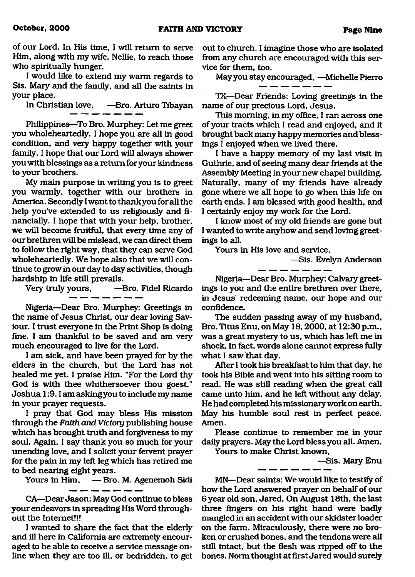of our Lord. In His time, I will return to serve Him, along with my wife, Nellie, to reach those who spiritually hunger.

I would like to extend my warm regards to Sis. Mary and the family, and all the saints in your place.

In Christian love, —Bro. Arturo Tibayan

Philippines—To Bro. Murphey: Let me greet you wholeheartedly. I hope you are all in good condition, and very happy together with your family. I hope that our Lord will always shower you with blessings as a return for your kindness to your brothers.

My main purpose in writing you is to greet you warmly, together with our brothers in America. Secondly I want to thank you for all the help you've extended to us religiously and financially. I hope that with your help, brother, we will become fruitful, that every time any of our brethren will be mislead, we can direct them to follow the right way, that they can serve God wholeheartedly. We hope also that we will continue to grow in our day to day activities, though hardship in life still prevails.

Very truly yours, —Bro. Fidel Ricardo

Nigeria—Dear Bro. Murphey: Greetings in the name of Jesus Christ, our dear loving Saviour. I trust everyone in the Print Shop is doing fine. I am thankful to be saved and am very much encouraged to live for the Lord.

I am sick, and have been prayed for by the elders in the church, but the Lord has not healed me yet. I praise Him. "For the Lord thy God is with thee whithersoever thou goest." Joshua 1:9.1 am askingyou to include my name in your prayer requests.

I pray that God may bless His mission through the *Faith and Victory* publishing house which has brought truth and forgiveness to my soul. Again, I say thank you so much for your unending love, and I solicit your fervent prayer for the pain in my left leg which has retired me to bed nearing eight years.<br>Yours in Him, — Bro

— Bro. M. Agenemoh Sidi

CA—Dear Jason: May God continue to bless your endeavors in spreading His Word throughout the Internet!!!

I wanted to share the fact that the elderly and ill here in California are extremely encouraged to be able to receive a service message online when they are too ill, or bedridden, to get

out to church. I imagine those who are isolated from any church are encouraged with this service for them, too.

May you stay encouraged, —Michelle Pierro

TX—Dear Friends: Loving greetings in the name of our precious Lord, Jesus.

This morning, in my office, I ran across one of your tracts which I read and enjoyed, and it brought back many happy memories and blessings I enjoyed when we lived there.

I have a happy memory of my last visit in Guthrie, and of seeing many dear friends at the Assembly Meeting in your new chapel building. Naturally, many of my friends have already gone where we all hope to go when this life on earth ends. I am blessed with good health, and I certainly enjoy my work for the Lord.

I know most of my old friends are gone but I wanted to write anyhow and send loving greetings to all.

Yours in His love and service,

—Sis. Evelyn Anderson

Nigeria—Dear Bro. Murphey: Calvary greetings to you and the entire brethren over there, in Jesus' redeeming name, our hope and our confidence.

The sudden passing away of my husband, Bro. Titus Enu, on May 18,2000, at 12:30 p.m., was a great mystery to us, which has left me in shock. In fact, words alone cannot express fully what I saw that day.

After I took his breakfast to him that day, he took his Bible and went into his sitting room to read. He was still reading when the great call came unto him, and he left without any delay. He had completed his missionary work on earth. May his humble soul rest in perfect peace. Amen.

Please continue to remember me in your daily prayers. May the Lord bless you all. Amen.

Yours to make Christ known,

—Sis. Mary Enu

MN—Dear saints: We would like to testify of how the Lord answered prayer on behalf of our 6 year old son, Jared. On August 18th, the last three fingers on his right hand were badly mangled in an accident with our skidster loader on the farm. Miraculously, there were no broken or crushed bones, and the tendons were all still intact, but the flesh was ripped off to the bones. Norm thought at first Jared would surely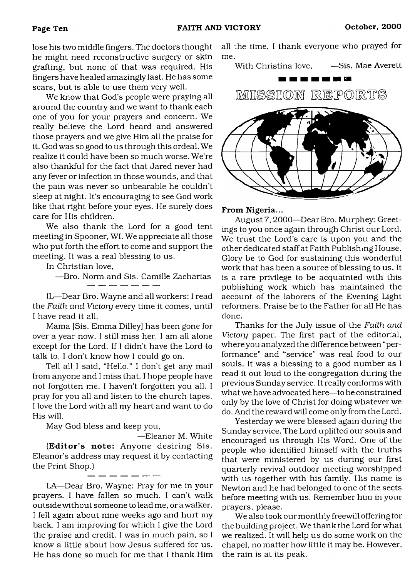lose his two middle fingers. The doctors thought he might need reconstructive surgery or skin grafting, but none of that was required. His fingers have healed amazingly fast. He has some scars, but is able to use them very well.

We know that God's people were praying all around the country and we want to thank each one of you for your prayers and concern. We really believe the Lord heard and answered those prayers and we give Him all the praise for it. God was so good to us through this ordeal. We realize it could have been so much worse. We're also thankful for the fact that Jared never had any fever or infection in those wounds, and that the pain was never so unbearable he couldn't sleep at night. It's encouraging to see God work like that right before your eyes. He surely does care for His children.

We also thank the Lord for a good tent meeting in Spooner, WI. We appreciate all those who put forth the effort to come and support the meeting. It was a real blessing to us.

In Christian love,

—Bro. Norm and Sis. Camille Zacharias

IL—Dear Bro. Wayne and all workers: I read the *Faith and Victory* every time it comes, until I have read it all.

Mama [Sis. Emma Dilley] has been gone for over a year now. I still miss her. I am all alone except for the Lord. If I didn't have the Lord to talk to, I don't know how I could go on.

Tell all I said, "Hello." I don't get any mail from anyone and I miss that. I hope people have not forgotten me. I haven't forgotten you all. I pray for you all and listen to the church tapes. I love the Lord with all my heart and want to do His will.

May God bless and keep you,

—Eleanor M. White (Editor's note: Anyone desiring Sis. Eleanor's address may request it by contacting the Print Shop.)

LA—Dear Bro. Wayne: Pray for me in your prayers. I have fallen so much. I can't walk outside without someone to lead me, or a walker. I fell again about nine weeks ago and hurt my back. I am improving for which I give the Lord the praise and credit. I was in much pain, so I know a little about how Jesus suffered for us. He has done so much for me that I thank Him

all the time. I thank everyone who prayed for me.

With Christina love, 
—Sis. Mae Averett



From Nigeria...

August 7,2000—Dear Bro. Murphey: Greetings to you once again through Christ our Lord. We trust the Lord's care is upon you and the other dedicated staff at Faith Publishing House. Glory be to God for sustaining this wonderful work that has been a source of blessing to us. It is a rare privilege to be acquainted with this publishing work which has maintained the account of the laborers of the Evening Light reformers. Praise be to the Father for all He has done.

Thanks for the July issue of the *Faith and Victory* paper. The first part of the editorial, where you analyzed the difference between "performance" and "service" was real food to our souls. It was a blessing to a good number as I read it out loud to the congregation during the previous Sunday service. It really conforms with what we have advocated here—to be constrained only by the love of Christ for doing whatever we do. And the reward will come only from the Lord.

Yesterday we were blessed again during the Sunday service. The Lord uplifted our souls and encouraged us through His Word. One of the people who identified himself with the truths that were ministered by us during our first quarterly revival outdoor meeting worshipped with us together with his family. His name is Newton and he had belonged to one of the sects before meeting with us. Remember him in your prayers, please.

We also took our monthly freewill offering for the building project. We thank the Lord for what we realized. It will help us do some work on the chapel, no matter how little it may be. However, the rain is at its peak.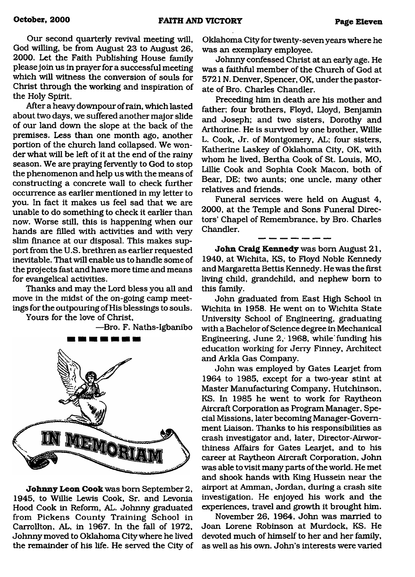Our second quarterly revival meeting will, God willing, be from August 23 to August 26, 2000. Let the Faith Publishing House family please join us in prayer for a successful meeting which will witness the conversion of souls for Christ through the working and inspiration of the Holy Spirit.

After a heavy downpour of rain, which lasted about two days, we suffered another major slide of our land down the slope at the back of the premises. Less than one month ago, another portion of the church land collapsed. We wonder what will be left of it at the end of the rainy season. We are praying fervently to God to stop the phenomenon and help us with the means of constructing a concrete wall to check further occurrence as earlier mentioned in my letter to you. In fact it makes us feel sad that we are unable to do something to check it earlier than now. Worse still, this is happening when our hands are filled with activities and with very slim finance at our disposal. This makes support from the U.S. brethren as earlier requested inevitable. That will enable us to handle some of the projects fast and have more time and means for evangelical activities.

Thanks and may the Lord bless you all and move in the midst of the on-going camp meetings for the outpouring of His blessings to souls.

Yours for the love of Christ,

—Bro. F. Naths-Igbanibo



**Johnny Leon Cook** was bom September 2, 1945, to Willie Lewis Cook, Sr. and Levonia Hood Cook in Reform, AL. Johnny graduated from Pickens County Training School in Carrollton, AL, in 1967. In the fall of 1972, Johnny moved to Oklahoma City where he lived the remainder of his life. He served the City of Oklahoma City for twenty-seven years where he was an exemplary employee.

Johnny confessed Christ at an early age. He was a faithful member of the Church of God at 5721N. Denver, Spencer, OK, under the pastorate of Bro. Charles Chandler.

Preceding him in death are his mother and father; four brothers, Floyd, Lloyd, Benjamin and Joseph; and two sisters, Dorothy and Arthorine. He is survived by one brother, Willie L. Cook, Jr. of Montgomery, AL; four sisters, Katherine Laskey of Oklahoma City, OK, with whom he lived, Bertha Cook of St. Louis, MO, Lillie Cook and Sophia Cook Macon, both of Bear, DE; two aunts; one uncle, many other relatives and friends.

Funeral services were held on August 4, 2000, at the Temple and Sons Funeral Directors' Chapel of Remembrance, by Bro. Charles Chandler.

**John Craig Kennedy** was bom August 21, 1940, at Wichita, KS, to Floyd Noble Kennedy and Margaretta Bettis Kennedy. He was the first living child, grandchild, and nephew bom to this family.

John graduated from East High School in Wichita in 1958. He went on to Wichita State University School of Engineering, graduating with a Bachelor of Science degree in Mechanical Engineering, June 2, 1968, while'funding his education working for Jerry Finney, Architect and Arkla Gas Company.

John was employed by Gates Learjet from 1964 to 1985, except for a two-year stint at Master Manufacturing Company, Hutchinson, KS. In 1985 he went to Work for Raytheon Aircraft Corporation as Program Manager, Special Missions, later becoming Manager-Government Liaison. Thanks to his responsibilities as crash investigator and, later, Director-Airworthiness Affairs for Gates Learjet, and to his career at Raytheon Aircraft Corporation, John was able to visit many parts of the world. He met and shook hands with King Hussein near the airport at Amman, Jordan, during a crash site investigation. He enjoyed his work and the experiences, travel and growth it brought him.

November 26, 1964, John was married to Joan Lorene Robinson at Murdock, KS. He devoted much of himself to her and her family, as well as his own. John's interests were varied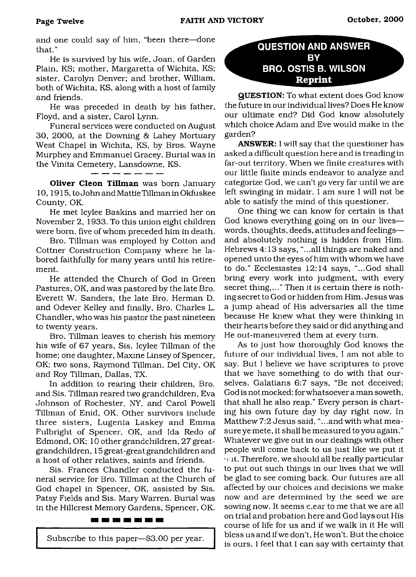and one could say of him, "been there—done that."

He is survived by his wife, Joan, of Garden Plain, KS; mother, Margaretta of Wichita, KS; sister, Carolyn Denver; and brother, William, both of Wichita, KS, along with a host of family and friends.

He was preceded in death by his father, Floyd, and a sister, Carol Lynn.

Funeral services were conducted on August 30, 2000, at the Downing & Lahey Mortuary West Chapel in Wichita, KS, by Bros. Wayne Murphey and Emmanuel Gracey. Burial was in the Vinita Cemetery, Lansdowne, KS.

Oliver Cleon Tillman was born January 10,1915, to John and Mattie Tillman in Okfuskee County, OK.

---------------

He met Icylee Baskins and married her on November 2, 1933. To this union eight children were bom, five of whom preceded him in death.

Bro. Tillman was employed by Cotton and Cottner Construction Company where he labored faithfully for many years until his retirement.

He attended the Church of God in Green Pastures, OK, and was pastored by the late Bro. Everett W. Sanders, the late Bro. Herman D. and Odever Kelley and finally, Bro. Charles L. Chandler, who was his pastor the past nineteen to twenty years.

Bro. Tillman leaves to cherish his memory his wife of 67 years, Sis. Icylee Tillman of the home; one daughter, Maxine Linsey of Spencer, OK; two sons, Raymond Tillman, Del City, OK and Roy Tillman, Dallas, TX.

In addition to rearing their children, Bro. and Sis. Tillman reared two grandchildren, Eva Johnson of Rochester, NY, and Carol Powell Tillman of Enid, OK. Other survivors include three sisters, Lugenia Laskey and Emma Fulbright of Spencer, OK, and Ida Redo of Edmond, OK; 10 other grandchildren, 27 greatgrandchildren, 15 great-great grandchildren and a host of other relatives, saints and friends.

Sis. Frances Chandler conducted the funeral service for Bro. Tillman at the Church of God chapel in Spencer, OK, assisted by Sis. Patsy Fields and Sis. Mary Warren. Burial was in the Hillcrest Memory Gardens, Spencer, OK.

#### -------

Subscribe to this paper—\$3.00 per year.

#### <span id="page-11-0"></span>**QUESTION AND ANSWER BY BRO. OSTIS B. WILSON Reprint**

QUESTION: To what extent does God know the future in our individual lives? Does He know our ultimate end? Did God know absolutely which choice Adam and Eve would make in the garden?

ANSWER: I will say that the questioner has asked a difficult question here and is treading in far-out territory. When we finite creatures with our little finite minds endeavor to analyze and categorize God, we can't go very far until we are left swinging in midair. I am sure I will not be able to satisfy the mind of this questioner.

One thing we can know for certain is that God knows everything going on in our lives words, thoughts, deeds, attitudes and feelings and absolutely nothing is hidden from Him. Hebrews 4:13 says, "...all things are naked and opened unto the eyes of him with whom we have to do." Ecclesiastes 12:14 says, "...God shall bring every work into judgment, with every secret thing,..." Then it is certain there is nothing secret to God or hidden from Him. Jesus was a jump ahead of His adversaries all the time because He knew what they were thinking in their hearts before they said or did anything and He out-maneuvered them at every turn.

As to just how thoroughly God knows the future of our individual lives, I am not able to say. But I believe we have scriptures to prove that we have something to do with that ourselves. Galatians 6:7 says, "Be not deceived; God is not mocked: for whatsoever a man soweth, that shall he also reap." Every person is charting his own future day by day right now. In Matthew 7:2 Jesus said, "...and with what measure ye mete, it shall be measured to you again." Whatever we give out in our dealings with other people will come back to us just like we put it  $\cdot$  at. Therefore, we should all be really particular to put out such things in our lives that we will be glad to see coming back. Our futures are all affected by our choices and decisions we make now and are determined by the seed we are sowing now. It seems c.ear to me that we are all on trial and probation here and God lays out His course of life for us and if we walk in it He will bless us and if we don't, He won't. But the choice is ours. I feel that I can say with certainty that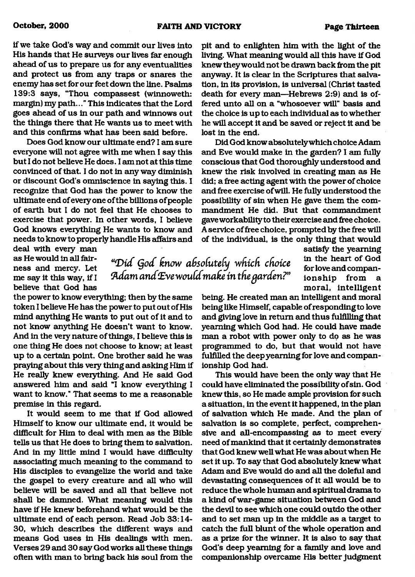*'"Diet Qod know adsoCuteCy which choke* Adam and Eve would make in the garden?"

if we take God's way and commit our lives into His hands that He surveys our lives far enough ahead of us to prepare us for any eventualities and protect us from any traps or snares the enemy has set for our feet down the line. Psalms 139:3 says, "Thou compassest (winnoweth: margin) my path..." This indicates that the Lord goes ahead of us in our path and winnows out the things there that He wants us to meet with and this confirms what has been said before.

Does God know our ultimate end? I am sure everyone will not agree with me when I say this but I do not believe He does. I am not at this time convinced of that. I do not in any way diminish or discount God's omniscience in saying this. I recognize that God has the power to know the ultimate end of every one of the billions of people of earth but I do not feel that He chooses to exercise that power. In other words, I believe God knows everything He wants to know and needs to know to properly handle His affairs and

deal with every man as He would in all fairness and mercy. Let me say it this way, if I believe that God has

the power to know everything; then by the same token I believe He has the power to put out of His mind anything He wants to put out of it and to not know anything He doesn't want to know. And in the very nature of things, I believe this is one thing He does not choose to know; at least up to a certain point. One brother said he was praying about this very thing and asking Him if He really knew everything. And He said God answered him and said "I know everything I want to know." That seems to me a reasonable premise in this regard.

It would seem to me that if God allowed Himself to know our ultimate end, it would be difficult for Him to deal with men as the Bible tells us that He does to bring them to salvation. And in my little mind I would have difficulty associating much meaning to the command to His disciples to evangelize the world and take the gospel to every creature and all who will believe will be saved and all that believe not shall be damned. What meaning would this have if He knew beforehand what would be the ultimate end of each person. Read Job 33:14- 30, which describes the different ways and means God uses in His dealings with men. Verses 29 and 30 say God works all these things often with man to bring back his soul from the pit and to enlighten him with the light of the living. What meaning would all this have if God knew they would not be drawn back from the pit anyway. It is clear in the Scriptures that salvation, in its provision, is universal (Christ tasted death for every man—Hebrews 2:9) and is offered unto all on a "whosoever will" basis and the choice is up to each individual as to whether he will accept it and be saved or reject it and be lost in the end.

Did God know absolutely which choice Adam and Eve would make in the garden? I am fully conscious that God thoroughly understood and knew the risk involved in creating man as He did; a free acting agent with the power of choice and free exercise of will. He fully understood the possibility of sin when He gave them the commandment He did. But that commandment gave workability to their exercise and free choice. A service of free choice, prompted by the free will of the individual, is the only thing that would

> satisfy the yearning in the heart of God for love and companionship from a moral, intelligent

being. He created man an intelligent and moral being like Himself, capable of responding to love and giving love in return and thus fulfilling that yearning which God had. He could have made man a robot with power only to do as he was programmed to do, but that would not have fulfilled the deep yearning for love and companionship God had.

This would have been the only way that He could have eliminated the possibility of sin. God knew this, so He made ample provision for such a situation, in the event it happened, in the plan of salvation which He made. And the plan of salvation is so complete, perfect, comprehensive and all-encompassing as to meet every need of mankind that it certainly demonstrates that God knew well what He was about when He set it up. To say that God absolutely knew what Adam and Eve would do and all the doleful and devastating consequences of it all would be to reduce the whole human and spiritual drama to a kind of war-game situation between God and the devil to see which one could outdo the other and to set man up in the middle as a target to catch the full blunt of the whole operation and as a prize for the winner. It is also to say that God's deep yearning for a family and love and companionship overcame His better judgment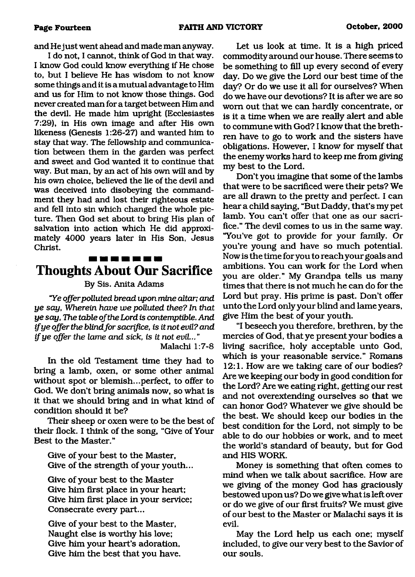and He just went ahead and made man anyway.

I do not, I cannot, think of God in that way. I know God could know everything if He chose to, but I believe He has wisdom to not know some things and it is a mutual advantage to Him and us for Him to not know those things. God never created man for a target between Him and the devil. He made him upright (Ecclesiastes 7:29), in His own image and after His own likeness (Genesis 1:26-27) and wanted him to stay that way. The fellowship and communication between them in the garden was perfect and sweet and God wanted it to continue that way. But man, by an act of his own will and by his own choice, believed the lie of the devil and was deceived into disobeying the commandment they had and lost their righteous estate and fell into sin which changed the whole picture. Then God set about to bring His plan of salvation into action which He did approximately 4000 years later in His Son, Jesus Christ.

# **Thoughts About Our Sacrifice**

#### By Sis. Anita Adams

*"Ye offer polluted bread upon mine altar; and ye say, Wherein have we polluted thee? In that ye say, The table o f the Lord is contemptible. And ifye offer the blind fo r sacrifice, is it not evil? and if ye offer the lame and sick, is it not evil..* "

Malachi 1:7-8

In the old Testament time they had to bring a lamb, oxen, or some other animal without spot or blemish...perfect, to offer to God. We don't bring animals now, so what is it that we should bring and in what kind of condition should it be?

Their sheep or oxen were to be the best of their flock. I think of the song, "Give of Your Best to the Master."

Give of your best to the Master, Give of the strength of your youth...

Give of your best to the Master Give him first place in your heart; Give him first place in your service; Consecrate every part...

Give of your best to the Master, Naught else is worthy his love; Give him your heart's adoration, Give him the best that you have.

Let us look at time. It is a high priced commodity around our house. There seems to be something to fill up every second of every day. Do we give the Lord our best time of the day? Or do we use it all for ourselves? When do we have our devotions? It is after we are so worn out that we can hardly concentrate, or is it a time when we are really alert and able to commune with God? I know that the brethren have to go to work and the sisters have obligations. However, I know for myself that the enemy works hard to keep me from giving my best to the Lord.

Don't you imagine that some of the lambs that were to be sacrificed were their pets? We are all drawn to the pretty and perfect. I can hear a child saying, "But Daddy, that's my pet lamb. You can't offer that one as our sacrifice." The devil comes to us in the same way. "You've got to provide for your family. Or you're young and have so much potential. Now is the time for you to reach your goals and ambitions. You cam work for the Lord when you are older." My Grandpa tells us many times that there is not much he can do for the Lord but pray. His prime is past. Don't offer unto the Lord only your blind and lame years, give Him the best of your youth.

"I beseech you therefore, brethren, by the mercies of God, that ye present your bodies a living sacrifice, holy acceptable unto God, which is your reasonable service." Romans 12:1. How are we taking care of our bodies? Are we keeping our body in good condition for the Lord? Are we eating right, getting our rest and not overextending ourselves so that we can honor God? Whatever we give should be the best. We should keep our bodies in the best condition for the Lord, not simply to be able to do our hobbies or work, and to meet the world's standard of beauty, but for God and HIS WORK.

Money is something that often comes to mind when we talk about sacrifice. How are we giving of the money God has graciously bestowed upon us? Do we give what is left over or do we give of our first fruits? We must give of our best to the Master or Malachi says it is evil.

May the Lord help us each one; myself included, to give our very best to the Savior of our souls.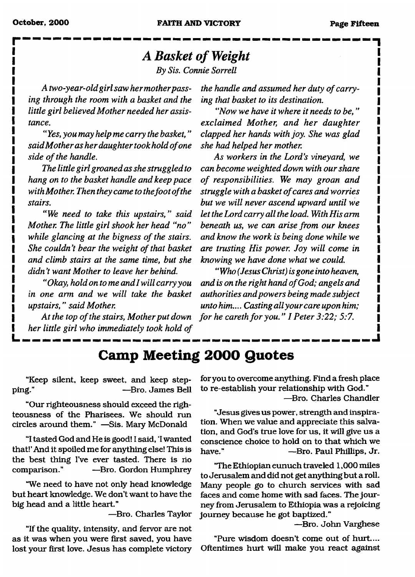# **r** ---------------- , *A Basket of Weight*

*By Sis. Connie Sorrell*

*A two-year-old girl saw her mother passing through the room with a basket and the little girl believed Mother needed her assistance.*

*" Yes, you may help me carry the basket, " said Mother as her daughter took hold o f one side of the handle.* 

*The little girl groaned as she struggled to hang on to the basket handle and keep pace* with Mother. Then they came to the foot of the *stairs.*

*" We need to take this upstairs," said Mother. The little girl shook her head "no "* while glancing at the bigness of the stairs. She couldn't bear the weight of that basket *and climb stairs at the same time, but she didn't want Mother to leave her behind.*

*"Okay, hold on to me and I will carry you in one arm and we will take the basket upstairs," said Mother.*

At the top of the stairs, Mother put down *her little girl who immediately took hold of* the handle and assumed her duty of carry*ing that basket to its destination.*

*"Now we have it where it needs to be," exclaimed Mother, and her daughter clapped her hands with joy. She was glad she had helped her mother.*

*As workers in the Lord's vineyard, we can become weighted down with our share* of responsibilities. We may groan and *struggle with a basket o f cares and worries but we will never ascend upward until we let the Lord carry all the load. With His arm beneath us, we can arise from our knees and know the work is being done while we are trusting His power. Joy will come in knowing we have done what we could.*

*"Who (Jesus Christ) is gone into heaven, and is on the right hand of God; angels and authorities and powers being made subject unto him.... Casting all your care upon him; for he careth for you." I Peter 3:22; 5:7.* 

## <span id="page-14-0"></span>**Camp Meeting 2000 Quotes**

"Keep silent, keep sweet, and keep stepping." —Bro. James Bell

"Our righteousness should exceed the righteousness of the Pharisees. We should run circles around them." —Sis. Mary McDonald

"I tasted God and He is good! I said, 'I wanted that!' And it spoiled me for anything else! This is the best thing I've ever tasted. There is no comparison." —Bro. Gordon Humphrey

"We need to have not only head knowledge but heart knowledge. We don't want to have the big head and a little heart."

—Bro. Charles Taylor

"If the quality, intensity, and fervor are not as it was when you were first saved, you have lost your first love. Jesus has complete victory for you to overcome anything. Find a fresh place to re-establish your relationship with God." —Bro. Charles Chandler

"Jesus gives us power, strength and inspiration. When we value and appreciate this salvation, and God's true love for us, it will give us a conscience choice to hold on to that which we have." —Bro. Paul Phillips, Jr.

'The Ethiopian eunuch traveled 1,000 miles to Jerusalem and did not get anything but a roll. Many people go to church services with sad faces and come home with sad faces. The journey from Jerusalem to Ethiopia was a rejoicing journey because he got baptized."

—Bro. John Varghese

"Pure wisdom doesn't come out of hurt.... Oftentimes hurt will make you react against